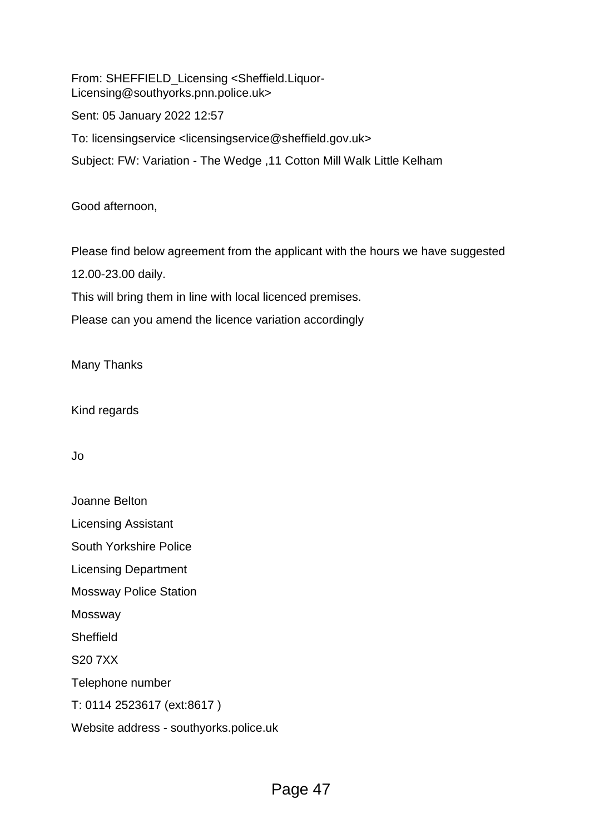From: SHEFFIELD\_Licensing <Sheffield.Liquor-Licensing@southyorks.pnn.police.uk>

Sent: 05 January 2022 12:57

To: licensingservice <licensingservice@sheffield.gov.uk>

Subject: FW: Variation - The Wedge ,11 Cotton Mill Walk Little Kelham

Good afternoon,

Please find below agreement from the applicant with the hours we have suggested

12.00-23.00 daily.

This will bring them in line with local licenced premises.

Please can you amend the licence variation accordingly

Many Thanks

Kind regards

Jo

Joanne Belton Licensing Assistant South Yorkshire Police Licensing Department Mossway Police Station Mossway **Sheffield** S20 7XX Telephone number T: 0114 2523617 (ext:8617 ) Website address - southyorks.police.uk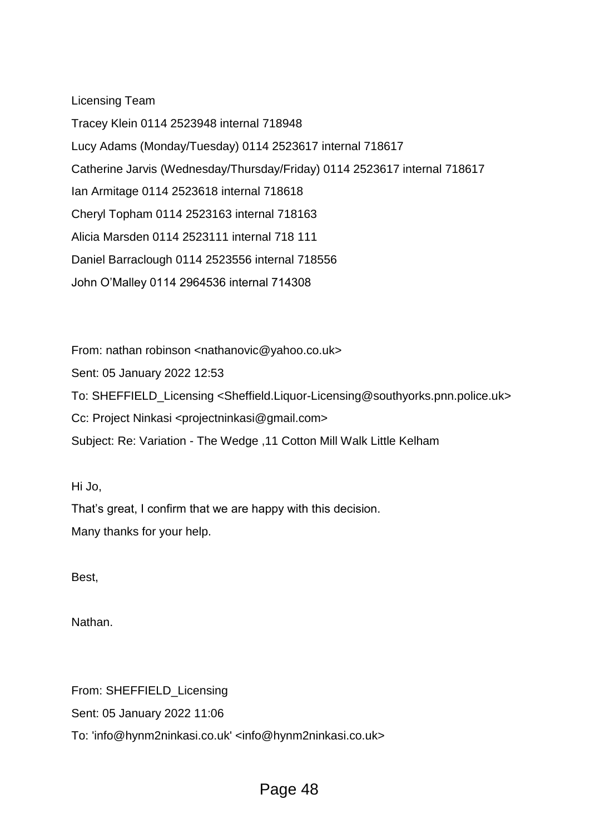Licensing Team

Tracey Klein 0114 2523948 internal 718948 Lucy Adams (Monday/Tuesday) 0114 2523617 internal 718617 Catherine Jarvis (Wednesday/Thursday/Friday) 0114 2523617 internal 718617 Ian Armitage 0114 2523618 internal 718618 Cheryl Topham 0114 2523163 internal 718163 Alicia Marsden 0114 2523111 internal 718 111 Daniel Barraclough 0114 2523556 internal 718556 John O'Malley 0114 2964536 internal 714308

From: nathan robinson <nathanovic@yahoo.co.uk>

Sent: 05 January 2022 12:53

To: SHEFFIELD\_Licensing <Sheffield.Liquor-Licensing@southyorks.pnn.police.uk>

Cc: Project Ninkasi <projectninkasi@gmail.com>

Subject: Re: Variation - The Wedge ,11 Cotton Mill Walk Little Kelham

Hi Jo,

That's great, I confirm that we are happy with this decision. Many thanks for your help.

Best,

Nathan.

From: SHEFFIELD\_Licensing Sent: 05 January 2022 11:06 To: 'info@hynm2ninkasi.co.uk' <info@hynm2ninkasi.co.uk>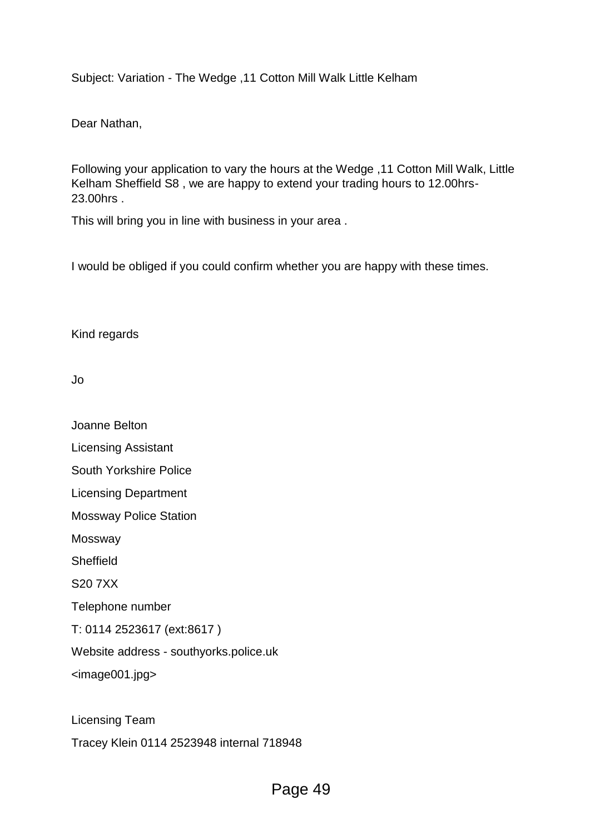Subject: Variation - The Wedge ,11 Cotton Mill Walk Little Kelham

Dear Nathan,

Following your application to vary the hours at the Wedge ,11 Cotton Mill Walk, Little Kelham Sheffield S8 , we are happy to extend your trading hours to 12.00hrs-23.00hrs .

This will bring you in line with business in your area .

I would be obliged if you could confirm whether you are happy with these times.

Kind regards

Jo

Joanne Belton

Licensing Assistant

South Yorkshire Police

Licensing Department

Mossway Police Station

Mossway

**Sheffield** 

S20 7XX

Telephone number

T: 0114 2523617 (ext:8617 )

Website address - southyorks.police.uk

<image001.jpg>

Licensing Team

Tracey Klein 0114 2523948 internal 718948